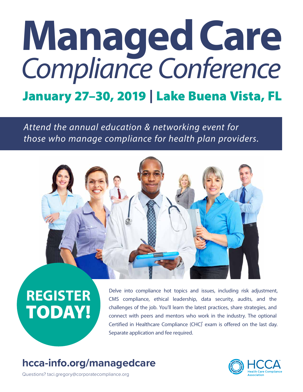# *Compliance Conference* January 27–30, 2019 | Lake Buena Vista, FL **ManagedCare**

*Attend the annual education & networking event for those who manage compliance for health plan providers.*



# **REGISTER** TODAY!

Delve into compliance hot topics and issues, including risk adjustment, CMS compliance, ethical leadership, data security, audits, and the challenges of the job. You'll learn the latest practices, share strategies, and connect with peers and mentors who work in the industry. The optional Certified in Healthcare Compliance (CHC) exam is offered on the last day. Separate application and fee required.

## **[hcca-info.org/managedcare](http://hcca-info.org/managedcare)**



Questions? taci.gregory@corporatecompliance.org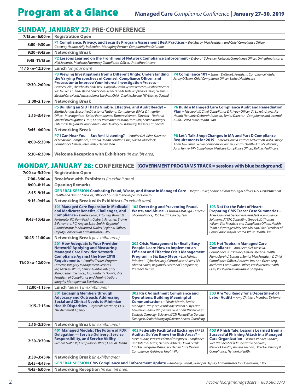### SUNDAY, JANUARY 27: **PRE-CONFERENCE**

| 7:15 ам-6:00 рм   | <b>Registration Open</b>                                                                                                                                                                                                                                                                                                                                                                                                                                                                                                                                                                                                                |                                                                                                                                                                                                                                                                                                      |  |
|-------------------|-----------------------------------------------------------------------------------------------------------------------------------------------------------------------------------------------------------------------------------------------------------------------------------------------------------------------------------------------------------------------------------------------------------------------------------------------------------------------------------------------------------------------------------------------------------------------------------------------------------------------------------------|------------------------------------------------------------------------------------------------------------------------------------------------------------------------------------------------------------------------------------------------------------------------------------------------------|--|
| 8:00-9:30 AM      | P1 Compliance, Privacy, and Security Program Assessment Best Practices - Bret Bissey, Vice President and Chief Compliance Officer,<br>Gateway Health; Kelly McLendon, Managing Partner, CompliancePro Solutions                                                                                                                                                                                                                                                                                                                                                                                                                         |                                                                                                                                                                                                                                                                                                      |  |
| 9:30-9:45 AM      | <b>Networking Break</b>                                                                                                                                                                                                                                                                                                                                                                                                                                                                                                                                                                                                                 |                                                                                                                                                                                                                                                                                                      |  |
| $9:45-11:15$ AM   | P2 Lessons Learned on the Frontlines of Network Compliance Enforcement - Deborah Schreiber, Network Compliance Officer, UnitedHealthcare;<br>Niki Jo Kurtis, Medicare Pharmacy Compliance Officer, UnitedHealthcare                                                                                                                                                                                                                                                                                                                                                                                                                     |                                                                                                                                                                                                                                                                                                      |  |
| 11:15 АМ-12:30 РМ | <b>Lunch</b> (on your own)                                                                                                                                                                                                                                                                                                                                                                                                                                                                                                                                                                                                              |                                                                                                                                                                                                                                                                                                      |  |
| 12:30-2:00 PM     | P3 Viewing Investigations from a Different Angle: Understanding<br><b>P4 Compliance 101 - Shawn DeGroot, President, Compliance Vitals;</b><br>the Varying Perspectives of Counsel, Compliance Officer, and<br>Jenny O'Brien, Chief Compliance Officer, UnitedHealthcare<br><b>Prosecutor to Improve Your Internal Investigation Process -</b><br>Heather Fields, Shareholder and Chair - Hospital/Health Systems Practice, Reinhart Boerner<br>Van Deuren s.c.; Lisa Estrada, Senior Vice President and Chief Compliance Officer, Fresenius<br>Medical Care North America; James Sheehan, Chief - Charities Bureau, NY Attorney General |                                                                                                                                                                                                                                                                                                      |  |
| 2:00-2:15 PM      | <b>Networking Break</b>                                                                                                                                                                                                                                                                                                                                                                                                                                                                                                                                                                                                                 |                                                                                                                                                                                                                                                                                                      |  |
| 2:15-3:45 PM      | P5 Building an SIU That's Nimble, Effective, and Audit Ready! -<br>Marita Janiga, Executive Director of National Compliance, Ethics & Integrity<br>Office - Investigations, Kaiser Permanente; Tamara Neiman, Director - National<br>Special Investigations Unit, Kaiser Permanente; Mark Horowitz, Senior Manager -<br>Enterprise Regional Compliance: Care Delivery & Pharmacy, Kaiser Permanente                                                                                                                                                                                                                                     | P6 Build a Managed Care Compliance Audit and Remediation<br><b>Plan</b> - Nicole Huff, Chief Compliance & Privacy Officer, St. Luke's University<br>Health Network; Deborah Johnson, Senior Director - Compliance and Internal<br>Audit, Peach State Health Plan                                     |  |
| 3:45-4:00 PM      | <b>Networking Break</b>                                                                                                                                                                                                                                                                                                                                                                                                                                                                                                                                                                                                                 |                                                                                                                                                                                                                                                                                                      |  |
| 4:00-5:30 PM      | P7 I Can Hear You - But Am I Listening? - Jennifer Del Villar, Director<br>of Medicare Compliance, Cambia Health Solutions, Inc; Gail M. Blacklock,<br>Compliance Officer, Inter Valley Health Plan                                                                                                                                                                                                                                                                                                                                                                                                                                     | P8 Let's Talk Shop: Changes in MA and Part D Compliance<br>Requirements for 2019 - Kate McDonald, Partner, McDermott Will & Emery;<br>Annie Hsu Shieh, Senior Compliance Counsel, Central Health Plan of California;<br>John Tanner, VP - Compliance, Medicare Compliance Officer, Molina Healthcare |  |
| 5:30-6:30 PM      | Welcome Reception with Exhibitors (in exhibit area)                                                                                                                                                                                                                                                                                                                                                                                                                                                                                                                                                                                     |                                                                                                                                                                                                                                                                                                      |  |

### MONDAY, JANUARY 28: **CONFERENCE (GOVERNMENT PROGRAMS TRACK = sessions with blue background)**

| 7:00 ам-5:30 рм   | <b>Registration Open</b>                                                                                                                                                                                                                                                                                                                                                                                                                                                                                                                                                                                                                                                                                                                                             |                                                                                                                                                                                                                                                                                                                                                                   |                                                                                                                                                                                                                                                                                                                                                      |  |
|-------------------|----------------------------------------------------------------------------------------------------------------------------------------------------------------------------------------------------------------------------------------------------------------------------------------------------------------------------------------------------------------------------------------------------------------------------------------------------------------------------------------------------------------------------------------------------------------------------------------------------------------------------------------------------------------------------------------------------------------------------------------------------------------------|-------------------------------------------------------------------------------------------------------------------------------------------------------------------------------------------------------------------------------------------------------------------------------------------------------------------------------------------------------------------|------------------------------------------------------------------------------------------------------------------------------------------------------------------------------------------------------------------------------------------------------------------------------------------------------------------------------------------------------|--|
| 7:00-8:00 AM      | <b>Breakfast with Exhibitors</b> (in exhibit area)                                                                                                                                                                                                                                                                                                                                                                                                                                                                                                                                                                                                                                                                                                                   |                                                                                                                                                                                                                                                                                                                                                                   |                                                                                                                                                                                                                                                                                                                                                      |  |
| $8:00-8:15$ AM    | <b>Opening Remarks</b>                                                                                                                                                                                                                                                                                                                                                                                                                                                                                                                                                                                                                                                                                                                                               |                                                                                                                                                                                                                                                                                                                                                                   |                                                                                                                                                                                                                                                                                                                                                      |  |
| 8:15-9:15 AM      | GENERAL SESSION Combating Fraud, Waste, and Abuse in Managed Care - Megan Tinker, Senior Advisor for Legal Affairs, U.S. Department of<br>Health and Human Services, Office of Counsel to the Inspector General                                                                                                                                                                                                                                                                                                                                                                                                                                                                                                                                                      |                                                                                                                                                                                                                                                                                                                                                                   |                                                                                                                                                                                                                                                                                                                                                      |  |
| 9:15-9:45 AM      | Networking Break with Exhibitors (in exhibit area)                                                                                                                                                                                                                                                                                                                                                                                                                                                                                                                                                                                                                                                                                                                   |                                                                                                                                                                                                                                                                                                                                                                   |                                                                                                                                                                                                                                                                                                                                                      |  |
| 9:45-10:45 AM     | 101 Managed Care Expansion in Medicaid<br>and Medicare: Benefits, Challenges, and<br><b>Compliance</b> - Denise Leard, Attorney, Brown &<br>Fortunato, PC; Pam Felkins Colbert, Attorney, Brown<br>& Fortunato, PC; Angela Brice-Smith, Regional<br>Administrator for Atlanta & Dallas Regional Offices,<br>Deputy Consortium Administrator, CMS                                                                                                                                                                                                                                                                                                                                                                                                                     | 102 Detecting and Preventing Fraud,<br>Waste, and Abuse - Christina Matsiga, Director<br>of Compliance, HSC Health Care System                                                                                                                                                                                                                                    | 103 Not for the Faint of Heart:<br><b>Preparing CMS Tracer Case Summaries -</b><br>Anne Crawford, Senior Vice President - Compliance<br>Solutions, ATTAC Consulting Group LLC; Thomas<br>Wilson, Vice President and Compliance Officer, Health<br>Team Advantage; Mary Ann McLean, Vice President of<br>Compliance, Baylor Scott & White Health Plan |  |
| 10:45-11:00 AM    | Networking Break (in exhibit area)                                                                                                                                                                                                                                                                                                                                                                                                                                                                                                                                                                                                                                                                                                                                   |                                                                                                                                                                                                                                                                                                                                                                   |                                                                                                                                                                                                                                                                                                                                                      |  |
| 11:00 АМ-12:00 РМ | 201 How Adequate Is Your Provider<br><b>202 Crisis Management for Really Busy</b><br><b>Network? Applying and Measuring</b><br><b>People: Learn How to Implement an</b><br><b>Managed Care Provider Network</b><br><b>Efficient and Effective Crisis Management</b><br><b>Compliance Against the New 2018</b><br>Program in Six Easy Steps - Lee Painter,<br>Principal - CyberSecuirty, CliftonLarsonAllen LLP;<br>Requirements - Jennifer Tryder, Program<br>Director, Integrity Management Services,<br>Ahmed Salim, Regional Director of Compliance,<br>Inc; Michael Walsh, Senior Auditor, Integrity<br>Presence Health<br>Management Services, Inc; Kimberly Hornik, Vice<br>President of Compliance and Administration,<br>Integrity Management Services, Inc. |                                                                                                                                                                                                                                                                                                                                                                   | <b>203 Hot Topics in Managed Care</b><br>Compliance - Ann Beimdiek Kinsella,<br>Compliance and Privacy Officer, Medica Health<br>Plans; Sarah J. Lorance, Senior Vice President & Chief<br>Compliance Officer, Anthem, Inc; Ann Greenberg,<br>Medicare Compliance Officer, Presbyterian Health<br>Plan, Presbyterian Insurance Company               |  |
| 12:00-1:15 PM     | <b>Lunch</b> (dessert in exhibit area)                                                                                                                                                                                                                                                                                                                                                                                                                                                                                                                                                                                                                                                                                                                               |                                                                                                                                                                                                                                                                                                                                                                   |                                                                                                                                                                                                                                                                                                                                                      |  |
| $1:15 - 2:15$ PM  | <b>301 Engaging Members through</b><br><b>Advocacy and Outreach: Addressing</b><br><b>Social and Clinical Needs to Minimize</b><br>Health Disparities - Joynicole Martinez, CEO,<br>The Alchemist Agency                                                                                                                                                                                                                                                                                                                                                                                                                                                                                                                                                             | 302 Risk Adjustment Compliance and<br><b>Operations: Building Meaningful</b><br><b>Communications</b> - Nicole Martin, Senior<br>Manager - Prospective Risk Adjustment / Physician<br>Education Team / Prospective Field Chart Review Team<br>Strategic Campaign Solutions (SCS), Florida Blue; Dorothy<br>DeAngelis, Senior Managing Director, Ankura Consulting | 303 Are You Ready for a Department of<br>Labor Audit? - Amy Christen, Member, Dykema                                                                                                                                                                                                                                                                 |  |
| 2:15-2:30 PM      | Networking Break (in exhibit area)                                                                                                                                                                                                                                                                                                                                                                                                                                                                                                                                                                                                                                                                                                                                   |                                                                                                                                                                                                                                                                                                                                                                   |                                                                                                                                                                                                                                                                                                                                                      |  |
| 2:30-3:30 PM      | 401 Managed Models: The Future of FDR<br><b>Delegation - Service Delivery, Service</b><br><b>Responsibility, and Service Ability -</b><br>Richard Golfin III, Compliance Officer, CenCal Health                                                                                                                                                                                                                                                                                                                                                                                                                                                                                                                                                                      | 402 Federally Facilitated Exchange (FFE)<br>Audits: Do You Know the Risk Areas? -<br>Steve Bunde, Vice President of Integrity & Compliance<br>and Internal Audit, HealthPartners; Dawn Guzik<br>Stocker, Program Manager - Health Care Reform<br>Compliance, Geisinger Health Plan                                                                                | 403 A Phish Tale: Lessons Learned from a<br><b>Successful Phishing Attack in a Managed</b><br>Care Organization - Jessica Vander Zanden,<br>Vice President of Administrative Services,<br>Network Health; Angela Keenan, Director, Privacy &<br>Compliance, Network Health                                                                           |  |
| 3:30-3:45 PM      | Networking Break (in exhibit area)                                                                                                                                                                                                                                                                                                                                                                                                                                                                                                                                                                                                                                                                                                                                   |                                                                                                                                                                                                                                                                                                                                                                   |                                                                                                                                                                                                                                                                                                                                                      |  |
| 3:45-4:45 PM      | <b>GENERAL SESSION CMS Compliance and Enforcement Update</b> - Kimberly Brandt, Principal Deputy Administrator for Operations, CMS                                                                                                                                                                                                                                                                                                                                                                                                                                                                                                                                                                                                                                   |                                                                                                                                                                                                                                                                                                                                                                   |                                                                                                                                                                                                                                                                                                                                                      |  |
| 4:45-6:00 PM      | Networking Reception (in exhibit area)                                                                                                                                                                                                                                                                                                                                                                                                                                                                                                                                                                                                                                                                                                                               |                                                                                                                                                                                                                                                                                                                                                                   |                                                                                                                                                                                                                                                                                                                                                      |  |
|                   |                                                                                                                                                                                                                                                                                                                                                                                                                                                                                                                                                                                                                                                                                                                                                                      |                                                                                                                                                                                                                                                                                                                                                                   |                                                                                                                                                                                                                                                                                                                                                      |  |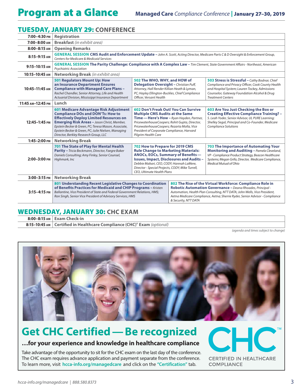### TUESDAY, JANUARY 29: **CONFERENCE**

| 7:00-4:30 PM      | <b>Registration</b>                                                                                                                                                                                                                                                                                                                                |                                                                                                                                                                                                                                                                                                     |                                                                                                                                                                                                                                                                                                              |                                                                                                                                                                                                                                             |
|-------------------|----------------------------------------------------------------------------------------------------------------------------------------------------------------------------------------------------------------------------------------------------------------------------------------------------------------------------------------------------|-----------------------------------------------------------------------------------------------------------------------------------------------------------------------------------------------------------------------------------------------------------------------------------------------------|--------------------------------------------------------------------------------------------------------------------------------------------------------------------------------------------------------------------------------------------------------------------------------------------------------------|---------------------------------------------------------------------------------------------------------------------------------------------------------------------------------------------------------------------------------------------|
| 7:00-8:00 AM      | <b>Breakfast</b> (in exhibit area)                                                                                                                                                                                                                                                                                                                 |                                                                                                                                                                                                                                                                                                     |                                                                                                                                                                                                                                                                                                              |                                                                                                                                                                                                                                             |
| $8:00 - 8:15$ AM  | <b>Opening Remarks</b>                                                                                                                                                                                                                                                                                                                             |                                                                                                                                                                                                                                                                                                     |                                                                                                                                                                                                                                                                                                              |                                                                                                                                                                                                                                             |
| $8:15-9:15$ AM    | GENERAL SESSION CMS Audit and Enforcement Update - John A. Scott, Acting Director, Medicare Parts C & D Oversight & Enforcement Group,<br>Centers for Medicare & Medicaid Services                                                                                                                                                                 |                                                                                                                                                                                                                                                                                                     |                                                                                                                                                                                                                                                                                                              |                                                                                                                                                                                                                                             |
| 9:15-10:15 AM     | GENERAL SESSION The Parity Challenge: Compliance with A Complex Law - Tim Clement, State Government Affairs - Northeast, American<br>Psychiatric Association                                                                                                                                                                                       |                                                                                                                                                                                                                                                                                                     |                                                                                                                                                                                                                                                                                                              |                                                                                                                                                                                                                                             |
| 10:15-10:45 AM    | Networking Break (in exhibit area)                                                                                                                                                                                                                                                                                                                 |                                                                                                                                                                                                                                                                                                     |                                                                                                                                                                                                                                                                                                              |                                                                                                                                                                                                                                             |
| 10:45-11:45 AM    | 501 Regulators Mount Up: How<br>an Insurance Department Ensures<br><b>Compliance with Managed Care Plans -</b><br>Rachel Chandler, Senior Attorney, Life and Health<br>Actuarial Division, Mississippi Insurance Department                                                                                                                        | 502 The WHO, WHY, and HOW of<br><b>Delegation Oversight</b> - Christian Puff,<br>Attorney, Hall Render Killian Heath & Lyman,<br>PC; Hayley Ellington-Buckles, Chief Compliance<br>Officer, Versant Health                                                                                          |                                                                                                                                                                                                                                                                                                              | 503 Stress is Stressful - Cathy Bodnar, Chief<br>Compliance and Privacy Officer, Cook County Health<br>and Hospital System; Lauren Tockey, Admissions<br>Counselor, Gateway Foundation Alcohol & Drug<br><b>Treatment Centers</b>           |
| 11:45 AM-12:45 PM | Lunch                                                                                                                                                                                                                                                                                                                                              |                                                                                                                                                                                                                                                                                                     |                                                                                                                                                                                                                                                                                                              |                                                                                                                                                                                                                                             |
| 12:45-1:45 PM     | 601 Medicare Advantage Risk Adjustment<br><b>Compliance DOs and DON'Ts: How to</b><br><b>Effectively Deploy Limited Resources on</b><br><b>Emerging Risk Areas - Jason Christ, Member,</b><br>Epstein Becker & Green, PC; Teresa Mason, Associate,<br>Epstein Becker & Green, PC; Julie Nielsen, Managing<br>Director, Berkley Research Group, LLC | 602 Don't Freak Out! You Can Survive<br><b>Multiple CMS Audits at the Same</b><br>Time - Here's How - Ryan Hayden, Partner,<br>PricewaterhouseCoopers; Rohit Gupta, Director,<br>PricewaterhouseCoopers; Rezarta Molla, Vice<br>President of Corporate Compliance, Harvard<br>Pilgrim Health Care   |                                                                                                                                                                                                                                                                                                              | 603 Are You Just Checking the Box or<br><b>Creating Effective Compliance Training? -</b><br>S. Leah Yoder, Senior Advisor, UL PURE Learning;<br>Shelley Segal, Principal and Co-Founder, Medicare<br><b>Compliance Solutions</b>            |
| 1:45-2:00 PM      | <b>Networking Break</b>                                                                                                                                                                                                                                                                                                                            |                                                                                                                                                                                                                                                                                                     |                                                                                                                                                                                                                                                                                                              |                                                                                                                                                                                                                                             |
| 2:00-3:00 PM      | 701 The State of Play for Mental Health<br>Parity - Tricia Beckmann, Director, Faegre Baker<br>Daniels Consulting; Amy Finley, Senior Counsel,<br>Highmark, Inc                                                                                                                                                                                    | 702 How to Prepare for 2019 CMS<br><b>Rule Change to Marketing Materials:</b><br>ANOCs, EOCs, Summary of Benefits-<br><b>Issues, Impact, Disclosures and Audits -</b><br>Debbie Mabari, CEO, CODY; Hannah LaMere,<br>Director - Special Projects, CODY; Mike Turrell,<br>CEO, Ultimate Health Plans |                                                                                                                                                                                                                                                                                                              | <b>703 The Importance of Automating Your</b><br><b>Monitoring and Auditing - Pamela Cleveland,</b><br>VP - Compliance Product Strategy, Beacon Healthcare<br>Systems; Megan Grifa, Director, Medicare Compliance,<br>Medical Mutual of Ohio |
| $3:00-3:15$ PM    | <b>Networking Break</b>                                                                                                                                                                                                                                                                                                                            |                                                                                                                                                                                                                                                                                                     |                                                                                                                                                                                                                                                                                                              |                                                                                                                                                                                                                                             |
| 3:15-4:15 PM      | 801 Understanding Recent Legislative Changes to Coordination<br>of Benefits Practices for Medicaid and CHIP Programs - Kristen<br>Ballantine, Vice President of State and Federal Government Relations, HMS;<br>Ron Singh, Senior Vice President of Advisory Services, HMS                                                                         |                                                                                                                                                                                                                                                                                                     | 802 The Rise of the Virtual Workforce: Compliance Role in<br>Robotic Automation Governance - Deana Rhoades, Principal -<br>Automation, Health Plan Consulting, NTT DATA; John Wells, Vice President,<br>Aetna Medicare Compliance, Aetna; Sherrie Ryder, Senior Advisor - Compliance<br>& Security, NTT DATA |                                                                                                                                                                                                                                             |

### WEDNESDAY, JANUARY 30: **CHC EXAM**

| $8:00-8:15$ am $\vert$ Exam Check-in                                                  |
|---------------------------------------------------------------------------------------|
| 8:15-10:45 AM   Certified in Healthcare Compliance (CHC) <sup>®</sup> Exam (optional) |

*(agenda and times subject to change)*



## **Get CHC Certified—Be recognized**

### **…for your experience and knowledge in healthcare compliance**

Take advantage of the opportunity to sit for the CHC exam on the last day of the conference. The CHC exam requires advance application and payment separate from the conference. To learn more, visit **hcca-info.org/managedcare** and click on the **"Certification"** tab.

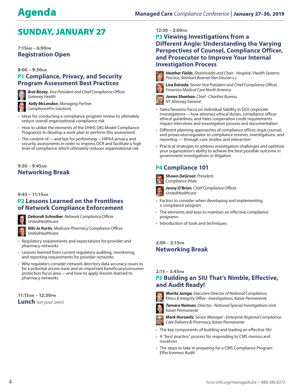### SUNDAY, JANUARY 27

### **7:15am – 6:00pm Registration Open**

### **8:00 – 9:30am P1 Compliance, Privacy, and Security Program Assessment Best Practices**



*Bret Bissey, Vice President and Chief Compliance Officer, Gateway Health*

 *Kelly McLendon, Managing Partner, CompliancePro Solutions*

- $\cdot$  Ideas for conducting a compliance program review to ultimately reduce overall organizational compliance risk
- How to utilize the elements of the DHHS OIG Model Compliance Program(s) to develop a work plan to perform this assessment
- The content of and tips for performing HIPAA privacy and security assessments in order to impress OCR and facilitate a high level of compliance which ultimately reduces organizational risk

### **9:30 – 9:45am Networking Break**

### **9:45 – 11:15am**

### **P2 Lessons Learned on the Frontlines of Network Compliance Enforcement**



*Deborah Schreiber, Network Compliance Officer, UnitedHealthcare* 

*Niki Jo Kurtis, Medicare Pharmacy Compliance Officer, UnitedHealthcare*

- y Regulatory requirements and expectations for provider and pharmacy networks
- Lessons learned from current regulatory auditing, monitoring, and reporting requirements for provider networks
- y Why regulators consider network directory data accuracy issues to be a potential access issue and an important beneficiary/consumer protection focus area—and how to apply lessons learned to pharmacy networks

**11:15am – 12:30pm Lunch** *(on your own)*

### **12:30 – 2:00pm**

### **P3 Viewing Investigations from a Different Angle: Understanding the Varying Perspectives of Counsel, Compliance Officer, and Prosecutor to Improve Your Internal Investigation Process**



*Heather Fields, Shareholder and Chair - Hospital/Health Systems Practice, Reinhart Boerner Van Deuren s.c.*



*Lisa Estrada, Senior Vice President and Chief Compliance Officer, Fresenius Medical Care North America*



*James Sheehan, Chief - Charities Bureau, NY Attorney General*

- <sup>y</sup> Yates/Sessions focus on individual liability in DOJ corporate investigations—how attorney ethical duties, compliance officer ethical guidelines, and Yates cooperation credit requirements impact interviews and investigation process and documentation
- Different planning approaches of compliance officer, legal counsel, and prosecutor/regulator to compliance reviews, investigations, and reporting — through case studies and interaction
- Practical strategies to address investigation challenges and optimize your organization's ability to achieve the best possible outcome in government investigations or litigation

### **P4 Compliance 101**



*Compliance Vitals*

*Jenny O'Brien, Chief Compliance Officer, UnitedHealthcare*

- Factors to consider when developing and implementing a compliance program
- The elements and keys to maintain an effective compliance programn
- Introduction of tools and techniques

**2:00 – 2:15pm Networking Break**

### **2:15 – 3:45pm**

### **P5 Building an SIU That's Nimble, Effective, and Audit Ready!**



*Marita Janiga, Executive Director of National Compliance, Ethics & Integrity Office - Investigations, Kaiser Permanente*

*Tamara Neiman, Director - National Special Investigations Unit, Kaiser Permanente*



*Mark Horowitz, Senior Manager - Enterprise Regional Compliance:* 

*Care Delivery & Pharmacy, Kaiser Permanente*

• The key components of building and leading an effective SIU

- A "best practice" process for responding to CMS memos and issuances
- The steps to take in preparing for a CMS Compliance Program Effectiveness Audit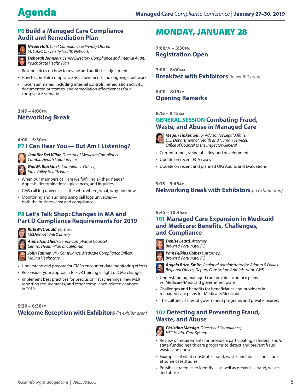### **P6 Build a Managed Care Compliance Audit and Remediation Plan**



*Nicole Huff, Chief Compliance & Privacy Officer, St. Luke's University Health Network*

*Deborah Johnson, Senior Director - Compliance and Internal Audit, Peach State Health Plan*

- Best practices on how to review and audit risk adjustments
- How to correlate compliance risk assessments and ongoing audit work
- Tracer summaries, including internal controls, remediation activity, documented outcomes, and remediation effectiveness for a compliance scenario

### **3:45 – 4:00pm Networking Break**

**4:00 – 5:30pm**

### **P7 I Can Hear You—But Am I Listening?**

*Jennifer Del Villar, Director of Medicare Compliance, Cambia Health Solutions, Inc*

*Gail M. Blacklock, Compliance Officer, Inter Valley Health Plan*

- When our members call, are we fulfilling all their needs? Appeals, determinations, grievances, and inquiries
- CMS call log universes the who, where, what, why, and how
- Monitoring and auditing using call logs universes both the business area and compliance

### **P8 Let's Talk Shop: Changes in MA and Part D Compliance Requirements for 2019**

*Kate McDonald, Partner, McDermott Will & Emery*

*Annie Hsu Shieh, Senior Compliance Counsel, Central Health Plan of California*

*John Tanner, VP - Compliance, Medicare Compliance Officer, Molina Healthcare*

- Understand and prepare for CMS's encounter data monitoring efforts
- Reconsider your approach to FDR training in light of CMS changes
- Implement best practices for preclusion list screenings, new MLR reporting requirements, and other compliance-related changes in 2019

### **5:30 – 6:30pm Welcome Reception with Exhibitors** *(in exhibit area)*

### MONDAY, JANUARY 28

**7:00am – 5:30pm Registration Open**

**7:00 – 8:00am Breakfast with Exhibitors** *(in exhibit area)*

**8:00 – 8:15am Opening Remarks**

### **8:15 – 9:15am**

### **GENERAL SESSION Combating Fraud, Waste, and Abuse in Managed Care**



*Megan Tinker, Senior Advisor for Legal Affairs, U.S. Department of Health and Human Services, Office of Counsel to the Inspector General*

- Current trends, vulnerabilities, and developments
- Update on recent FCA cases
- Update on recent and planned OIG Audits and Evaluations

### **9:15 – 9:45am**

**Networking Break with Exhibitors** *(in exhibit area)*

### **9:45 – 10:45am**

### **101 Managed Care Expansion in Medicaid and Medicare: Benefits, Challenges, and Compliance**



*Pam Felkins Colbert, Attorney,* 

*Brown & Fortunato, PC*

*Angela Brice-Smith, Regional Administrator for Atlanta & Dallas Regional Offices, Deputy Consortium Administrator, CMS*

- Understanding managed care private insurance plans vs. Medicare/Medicaid government plans
- Challenges and benefits for beneficiaries and providers in managed care plans for Medicare/Medicaid.
- The culture clashes of government programs and private insurers

### **102 Detecting and Preventing Fraud, Waste, and Abuse**

*Christina Matsiga, Director of Compliance, HSC Health Care System*

- Review of requirements for providers participating in federal and/or state-funded health care programs to detect and prevent fraud, waste, and abuse.
- y Examples of what constitutes fraud, waste, and abuse; and a look at some case studies
- Possible strategies to identify—as well as prevent—fraud, waste, and abuse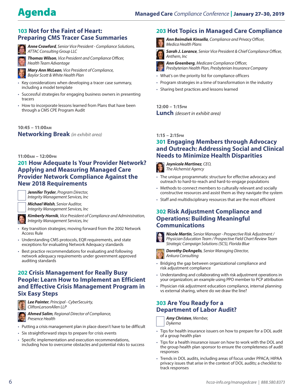### **103 Not for the Faint of Heart: Preparing CMS Tracer Case Summaries**

*Anne Crawford, Senior Vice President - Compliance Solutions, ATTAC Consulting Group LLC*

*Thomas Wilson, Vice President and Compliance Officer, Health Team Advantage*



*Mary Ann McLean, Vice President of Compliance, Baylor Scott & White Health Plan*

- Key considerations when developing a tracer case summary, including a model template
- Successful strategies for engaging business owners in presenting tracers
- How to incorporate lessons learned from Plans that have been through a CMS CPE Program Audit

**10:45 – 11:00am Networking Break** *(in exhibit area)*

### **11:00am – 12:00pm**

### **201 How Adequate Is Your Provider Network? Applying and Measuring Managed Care Provider Network Compliance Against the New 2018 Requirements**

*Jennifer Tryder, Program Director, Integrity Management Services, Inc*

*Michael Walsh, Senior Auditor, Integrity Management Services, Inc*



*Kimberly Hornik, Vice President of Compliance and Administration, Integrity Management Services, Inc*

- Key transition strategies; moving forward from the 2002 Network Access Rule
- Understanding CMS protocols, EQR requirements, and state exceptions for evaluating Network Adequacy standards
- Best practice recommendations for evaluating and following network adequacy requirements under government approved auditing standards

### **202 Crisis Management for Really Busy People: Learn How to Implement an Efficient and Effective Crisis Management Program in Six Easy Steps**



*Lee Painter, Principal - CyberSecuirty, CliftonLarsonAllen LLP*

*Ahmed Salim, Regional Director of Compliance, Presence Health*

- Putting a crisis management plan in place doesn't have to be difficult
- Six straightforward steps to prepare for crisis events
- Specific implementation and execution recommendations, including how to overcome obstacles and potential risks to success

### **203 Hot Topics in Managed Care Compliance**

- *Ann Beimdiek Kinsella, Compliance and Privacy Officer, Medica Health Plans*
- *Sarah J. Lorance, Senior Vice President & Chief Compliance Officer, Anthem, Inc*
- - *Ann Greenberg, Medicare Compliance Officer, Presbyterian Health Plan, Presbyterian Insurance Company*
	- What's on the priority list for compliance officers
	- Program strategies in a time of transformation in the industry
	- Sharing best practices and lessons learned

**12:00 – 1:15pm Lunch** *(dessert in exhibit area)*

### **1:15 – 2:15pm**

### **301 Engaging Members through Advocacy and Outreach: Addressing Social and Clinical Needs to Minimize Health Disparities**



*Joynicole Martinez, CEO, The Alchemist Agency*

- The unique programmatic structure for effective advocacy and outreach to hard-to-reach and hard-to-engage populations
- Methods to connect members to culturally relevant and socially constructive resources and assist them as they navigate the system
- Staff and multidisciplinary resources that are the most efficient

### **302 Risk Adjustment Compliance and Operations: Building Meaningful Communications**



*Nicole Martin, Senior Manager - Prospective Risk Adjustment / Physician Education Team / Prospective Field Chart Review Team Strategic Campaign Solutions (SCS), Florida Blue*



*Dorothy DeAngelis, Senior Managing Director, Ankura Consulting*

- Bridging the gap between organizational compliance and risk adjustment compliance
- Understanding and collaborating with risk adjustment operations in your organization; an example using PPO member to PCP attribution
- Physician risk adjustment education compliance, internal planning vs external sharing, where do we draw the line?

### **303 Are You Ready for a Department of Labor Audit?**

*Amy Christen, Member, Dykema*

- Tips for health insurance issuers on how to prepare for a DOL audit of a group health plan
- Tips for a health insurance issuer on how to work with the DOL and the group health plan sponsor to ensure the completeness of audit responses
- Trends in DOL audits, including areas of focus under PPACA; HIPAA privacy issues that arise in the context of DOL audits; a checklist to track responses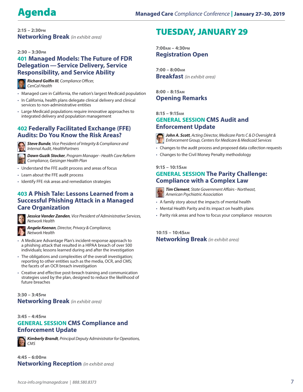**2:15 – 2:30pm Networking Break** *(in exhibit area)*

### **2:30 – 3:30pm**

### **401 Managed Models: The Future of FDR Delegation—Service Delivery, Service Responsibility, and Service Ability**



*Richard Golfin III, Compliance Officer, CenCal Health*

- Managed care in California, the nation's largest Medicaid population
- In California, health plans delegate clinical delivery and clinical services to non-administrative entities
- Large Medicaid populations require innovative approaches to integrated delivery and population management

### **402 Federally Facilitated Exchange (FFE) Audits: Do You Know the Risk Areas?**



*Steve Bunde, Vice President of Integrity & Compliance and Internal Audit, HealthPartners*

*Dawn Guzik Stocker, Program Manager - Health Care Reform Compliance, Geisinger Health Plan*

- Understand the FFE audit process and areas of focus
- Learn about the FFE audit process
- Identify FFE risk areas and remediation strategies

### **403 A Phish Tale: Lessons Learned from a Successful Phishing Attack in a Managed Care Organization**



*Jessica Vander Zanden, Vice President of Administrative Services, Network Health*

*Angela Keenan, Director, Privacy & Compliance, Network Health*

- A Medicare Advantage Plan's incident-response approach to a phishing attack that resulted in a HIPAA breach of over 500
- individuals; lessons learned during and after the investigation • The obligations and complexities of the overall investigation; reporting to other entities such as the media, OCR, and CMS; the facets of an OCR breach investigation
- Creative and effective post-breach training and communication strategies used by the plan, designed to reduce the likelihood of future breaches

### **3:30 – 3:45pm Networking Break** *(in exhibit area)*

### **3:45 – 4:45pm GENERAL SESSION CMS Compliance and Enforcement Update**



*Kimberly Brandt, Principal Deputy Administrator for Operations, CMS*

**4:45 – 6:00pm Networking Reception** *(in exhibit area)*

### TUESDAY, JANUARY 29

**7:00am – 4:30pm Registration Open**

**7:00 – 8:00am Breakfast** *(in exhibit area)*

**8:00 – 8:15am Opening Remarks**

### **8:15 – 9:15am**

### **GENERAL SESSION CMS Audit and Enforcement Update**



*John A. Scott, Acting Director, Medicare Parts C & D Oversight & Enforcement Group, Centers for Medicare & Medicaid Services*

- Changes to the audit process and proposed data collection requests
- Changes to the Civil Money Penalty methodology

### **9:15 – 10:15am**

### **GENERAL SESSION The Parity Challenge: Compliance with a Complex Law**



*Tim Clement, State Government Affairs - Northeast, American Psychiatric Association*

- A family story about the impacts of mental health
- Mental Health Parity and its impact on health plans
- Parity risk areas and how to focus your compliance resources

**10:15 – 10:45am Networking Break** *(in exhibit area)*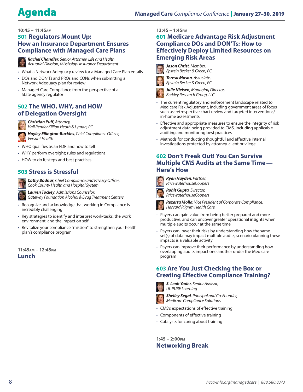### **10:45 – 11:45am 501 Regulators Mount Up: How an Insurance Department Ensures Compliance with Managed Care Plans**



*Rachel Chandler, Senior Attorney, Life and Health Actuarial Division, Mississippi Insurance Department*

- What a Network Adequacy review for a Managed Care Plan entails
- DOs and DON'Ts and PROs and CONs when submitting a Network Adequacy plan for review
- Managed Care Compliance from the perspective of a State agency regulator

### **502 The WHO, WHY, and HOW of Delegation Oversight**



*Christian Puff, Attorney, Hall Render Killian Heath & Lyman, PC*

*Hayley Ellington-Buckles, Chief Compliance Officer, Versant Health*

- WHO qualifies as an FDR and how to tell
- WHY perform oversight; rules and regulations
- HOW to do it; steps and best practices

### **503 Stress is Stressful**



*Cathy Bodnar, Chief Compliance and Privacy Officer, Cook County Health and Hospital System*

*Lauren Tockey, Admissions Counselor, Gateway Foundation Alcohol & Drug Treatment Centers*

- Recognize and acknowledge that working in Compliance is incredibly challenging
- Key strategies to identify and interpret work-tasks, the work environment, and the impact on self
- Revitalize your compliance "mission" to strengthen your health plan's compliance program

**11:45am – 12:45pm Lunch**

### **12:45 – 1:45pm**

### **601 Medicare Advantage Risk Adjustment Compliance DOs and DON'Ts: How to Effectively Deploy Limited Resources on Emerging Risk Areas**



*Jason Christ, Member, Epstein Becker & Green, PC*



*Teresa Mason, Associate,* 



*Epstein Becker & Green, PC*



- The current regulatory and enforcement landscape related to Medicare Risk Adjustment, including government areas of focus such as: retrospective chart review and targeted interventions/ in-home assessments
- Effective and appropriate measures to ensure the integrity of risk adjustment data being provided to CMS, including applicable auditing and monitoring best practices
- Methods for conducting thoughtful and effective internal investigations protected by attorney-client privilege

### **602 Don't Freak Out! You Can Survive Multiple CMS Audits at the Same Time— Here's How**



*Rohit Gupta, Director, PricewaterhouseCoopers*



- Payers can gain value from being better prepared and more productive, and can uncover greater operational insights when multiple audits occur at the same time
- Payers can lower their risks by understanding how the same set(s) of data may impact multiple audits; scenario planning these impacts is a valuable activity
- Payers can improve their performance by understanding how overlapping audits impact one another under the Medicare program

### **603 Are You Just Checking the Box or Creating Effective Compliance Training?**



*S. Leah Yoder, Senior Advisor, UL PURE Learning*



*Shelley Segal, Principal and Co-Founder, Medicare Compliance Solutions*

- CMS's expectations of effective training
- Components of effective training
- Catalysts for caring about training

### **1:45 – 2:00pm Networking Break**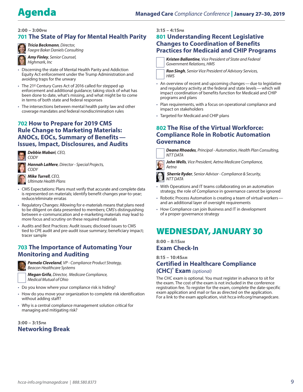### **2:00 – 3:00pm**

### **701 The State of Play for Mental Health Parity**



*Tricia Beckmann, Director, Faegre Baker Daniels Consulting*

*Amy Finley, Senior Counsel, Highmark, Inc*

- Discerning the state of Mental Health Parity and Addiction Equity Act enforcement under the Trump Administration and avoiding traps for the unwary
- The 21st Century Cures Act of 2016 called for stepped up enforcement and additional guidance; taking stock of what has been done to date, what's missing, and what might be to come in terms of both state and federal responses
- The intersections between mental health parity law and other coverage mandates and federal nondiscrimination rules

### **702 How to Prepare for 2019 CMS Rule Change to Marketing Materials: ANOCs, EOCs, Summary of Benefits— Issues, Impact, Disclosures, and Audits**



*Debbie Mabari, CEO, CODY*

*Hannah LaMere, Director - Special Projects,* 

### *CODY Mike Turrell, CEO,*

*Ultimate Health Plans*

- CMS Expectations: Plans must verify that accurate and complete data is represented on materials; identify benefit changes year-to-year; reduce/eliminate erratas
- Regulatory Changes: Allowing for e-materials means that plans need to be diligent on data presented to members; CMS's distinguishing between e-communication and e-marketing materials may lead to more focus and scrutiny on these required materials
- Audits and Best Practices: Audit issues; disclosed issues to CMS tied to CPE audit and pre-audit issue summary; beneficiary impact; tracer sample

### **703 The Importance of Automating Your Monitoring and Auditing**



*Pamela Cleveland, VP - Compliance Product Strategy, Beacon Healthcare Systems*

*Megan Grifa, Director, Medicare Compliance, Medical Mutual of Ohio*

- Do you know where your compliance risk is hiding?
- How do you move your organization to complete risk identification without adding staff?
- Why is a central compliance management solution critical for managing and mitigating risk?

**3:00 – 3:15pm Networking Break**

### **3:15 – 4:15pm**

### **801 Understanding Recent Legislative Changes to Coordination of Benefits Practices for Medicaid and CHIP Programs**

*Kristen Ballantine, Vice President of State and Federal Government Relations, HMS*

*Ron Singh, Senior Vice President of Advisory Services, HMS*

- An overview of recent and upcoming changes—due to legislative and regulatory activity at the federal and state levels—which will impact coordination of benefits function for Medicaid and CHIP programs and plans
- Plan requirements, with a focus on operational compliance and impact on stakeholders
- Targeted for Medicaid and CHIP plans

### **802 The Rise of the Virtual Workforce: Compliance Role in Robotic Automation Governance**

*Deana Rhoades, Principal - Automation, Health Plan Consulting, NTT DATA*

*John Wells, Vice President, Aetna Medicare Compliance, Aetna*



*Sherrie Ryder, Senior Advisor - Compliance & Security, NTT DATA*

- With Operations and IT teams collaborating on an automation strategy, the role of Compliance in governance cannot be ignored
- Robotic Process Automation is creating a team of virtual workers and an additional layer of oversight requirements
- How Compliance can join Business and IT in development of a proper governance strategy

### WEDNESDAY, JANUARY 30

**8:00 – 8:15am Exam Check-In**

**8:15 – 10:45am Certified in Healthcare Compliance (CHC)**®  **Exam** *(optional)*

The CHC exam is optional. You must register in advance to sit for the exam. The cost of the exam is not included in the conference registration fee. To register for the exam, complete the date-specific exam application and mail or fax as directed on the application. For a link to the exam application, visit hcca-info.org/managedcare.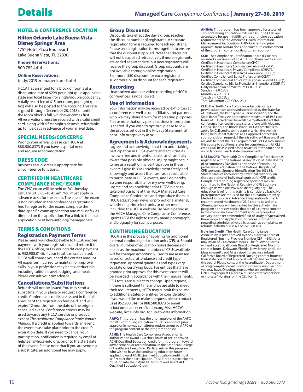### HOTEL & CONFERENCE LOCATION

### Hilton Orlando Lake Buena Vista – Disney Springs™ Area

1751 Hotel Plaza Boulevard Lake Buena Vista, FL 32830

**Phone Reservations:**  800.782.4414

#### **Online Reservations:**

[bit.ly/2019-managedcare-hotel](http://bit.ly/2019-managedcare-hotel)

HCCA has arranged for a block of rooms at a discounted rate of \$229 per night (plus applicable state and local taxes) for single/double occupancy. A daily resort fee of \$15 per room, per night (plus tax) will also be posted to the account. This rate is good through December 28, 2018 or until the room block is full, whichever comes first. All reservations must be secured with a valid credit card, along with a first night's deposit, refundable up to five days in advance of your arrival date.

#### SPECIAL NEEDS/CONCERNS:

Prior to your arrival, please call HCCA at 888.580.8373 if you have a special need and require accommodation.

#### DRESS CODE:

Business casual dress is appropriate for all conference functions.

### CERTIFIED IN HEALTHCARE COMPLIANCE (CHC)® EXAM:

The CHC exam will be held on Wednesday, January 30, 8:00–10:45 am. You must apply in advance to sit for the exam. The cost of the exam is not included in the conference registration fee. To register for the exam, complete the date-specific exam application and mail or fax as directed on the application. For a link to the exam application, visit hcca-info.org/managedcare.

### TERMS & CONDITIONS

**Registration Payment Terms**<br>Please make your check payable to HCCA, enclose

payment with your registration, and return it to the HCCA office, or fax your credit card payment to 952.988.0146. If your total is miscalculated, HCCA will charge your card the correct amount. All expenses incurred to maintain or improve skills in your profession may be tax deductible, including tuition, travel, lodging, and meals. Plea[se consult your tax advisor.](http://hcca-info.org/managedcare) 

### Cancellations/Substitutions:

Refunds will not be issued. You may send a substitute in your place or request a conference credit. Conference credits are issued in the full amount of the registration fees paid, and will expire 12 months from the date of the original cancelled event. Conference credits may be used towards any HCCA service or product, except *The Healthcare Compliance Professional's Manual*. If a credit is applied towards an event, the event must take place prior to the credit's expiration date. If you need to cancel your participation, notification is required by email at helpteam@hcca-info.org, prior to the start date of the event. Please note that if you are sending a substitute, an additional fee may apply.

### Group Discounts:

Discounts take effect the day a group reaches the discount number of registrants. A separate registration form is required for each registrant. Please send registration forms together to ensure that the discount is applied. Note that discounts will not be applied retroactively if more registrants are added at a later date, but new registrants will receive the group discount. Group discounts are not available through online registration. 5 or more: \$50 discount for each registrant 10 or more: \$100 discount for each registrant

#### Recording:

Unathorized audio or video recording of HCCA conferences is not allowed.

### Use of Information:

Your information may be received by exhibitors at a conference as well as our affiliates and partners who we may share it with for marketing purposes. Please note that only postal address information is shared. If you wish to opt-out, please follow the process set out in the Privacy Statement, at hcca-info.org/privacy.aspx.

#### Agreements & Acknowledgements:

I agree and acknowledge that I am undertaking participation in HCCA events and activities as my own free and intentional act, and I am fully aware that possible physical injury might occur to me as a result of my participation in these events. I give this acknowledgement freely and knowingly and assert that I am, as a result, able to participate in HCCA events, and I do hereby assume responsibility for my own well-being. I agree and acknowledge that HCCA plans to take photographs at the HCCA Managed Care Compliance Conference and reproduce them in HCCA educational, news, or promotional material, whether in print, electronic, or other media, including the HCCA website. By participating in the HCCA Managed Care Compliance Conference, I grant HCCA the right to use my name, photograph, and biography for such purposes.

### CONTINUING EDUCATION

HCCA is in the process of applying for additional external continuing education units (CEUs). Should overall number of education hours decrease or increase, the maximum number of CEUs available will be changed accordingly. Credits are assessed based on actual attendance and credit type requested. Approval quantities and types vary [by state or certifying body.](http://hcca-info.org/privacy.aspx) For entities that have granted prior approval for this event, credits will be awarded in accordance with their requirements. CEU totals are subject to change. Upon request, if there is sufficient time and we are able to meet their requirements, HCCA may submit this course to additional states or entities for consideration. If you would like to make a request, please contact us at 952.988.0141 or 888.580.8373 or email ccb@compliancecertification.org. Visit HCCA's website, hcca-info.org, for up-to-date information.

AAPC: This program has the prior approval of the AAPC for 19.5 continuing education hours. Granting of prior approval in no way constitutes endorsement by AAPC of the program content or the program sponsor.

ACHE: The Health Care Compliance Association is authorized to award 19.0 clock hours of pre-approved ACHE Qualified Education credit for this program toward advancement, or recertification, in the American College of Healthcare Executives. Participants in this program who wish to have the continuing education hours applied toward ACHE Qualified Education credit must self-report their participation. To self-report, participants must log into their MyACHE account and select ACHE Qualified Education Credit.

AHIMA: This program has been approved for a total of 19.5 continuing education unit(s) (CEUs). The CEUs are acceptable for use in fulfilling the continuing education requirements of the American Health Information Management Association (AHIMA). Granting prior approval from AHIMA does not constitute endorsement of the program content or its program sponsor.

CCB: The Compliance Certification Board (CCB)® has awarded a maximum of 23.4 CEUs for these certifications: Certified in Healthcare Compliance (CHC)®, Certified in Healthcare Compliance–Fellow (CHC-F)®, Certified in Healthcare Privacy Compliance (CHPC®), Certified in Healthcare Research Compliance (CHRC)®, Certified Compliance & Ethics Professional (CCEP)®, Certified Compliance & Ethics Professional–Fellow (CCEP-F)®, Certified Compliance & Ethics Professional–International (CCEP-I®). Daily Breakdown of maximum CCB CEUs:  $Sun$ day = 9.0 CEUs  $Monday = 7.2$  CEUs Tuesday = 7.2 CEUs Total Maximum CCB CEUs: 23.4

CLE: The Health Care Compliance Association is a provider/sponsor, approved/accredited by the State Bar of California, the Pennsylvania Bar Association, and the State Bar of Texas. [An approximate m](http://hcca-info.org)aximum of 19.5 clock hours of CLE credit will be available to attendees of this conference licensed in these states, along with Alabama, Florida, Illinois, and Rhode Island. HCCA's practice is to apply for CLE credits to the state in which the event is being held, if that state has a CLE approval process for sponsors. Upon request, if there is sufficient time and if we are able to meet their CLE requirements, HCCA may submit this course to additional states for consideration. All CLE credits will be assessed based on actual attendance and in accordance with each state's requirements.

NASBA/CPE: The Health Care Compliance Association is registered with the National Association of State Boards of Accountancy (NASBA) as a sponsor of continuing professional education on the National Registry of CPE sponsors, Sponsor Identification No: 105638. State boards of accountancy have final authority on the acceptance of individual courses for CPE credit. Complaints regarding registered sponsors may be submitted to the National Registry of CPE Sponsors through its website: www.nasbaregistry.org. The education level for this activity is considered basic. No prerequisites are required for this education. Delivery Method: Group Live. Advanced Preparation: None. A recommended maximum of 23.0 credits based on a 50-minute hour will be granted for this activity. This program addresses topics that are of a current concern in the compliance environment and is a group-live activity in the recommended field of study of Specialized Knowledge and Application. For more information regarding administrative policies such as complaints or refunds, call 888-580-8373 or 952-988-0141.

Nursing Credit: The Health Care Compliance Association is preapproved by the California Board of Registered Nursing, Provider Number CEP 14593, for a maximum of 23.4 contact hours. The following states will not accept California Board of Registered Nursing contact hours: Delaware, Florida, New Jersey, and Utah. Massachusetts and Mississippi nurses may submit California Board of Registered Nursing contact hours to their state board, but approval will depend on review by the board. Please contact the Accreditation Department at ccb@compliancecertification.org with any questions you may have. Oncology nurses who are certified by ONCC may request California nursing credit (check box or indicate "Nursing" on the CEU form).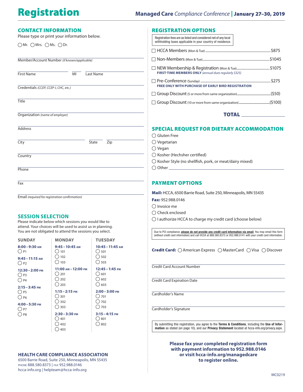| <b>CONTACT INFORMATION</b>                                   |                                                                                                                         |                                                      | <b>REGISTRATION OPTIONS</b>                                                                                                   |  |  |
|--------------------------------------------------------------|-------------------------------------------------------------------------------------------------------------------------|------------------------------------------------------|-------------------------------------------------------------------------------------------------------------------------------|--|--|
| Please type or print your information below.                 |                                                                                                                         |                                                      | Registration fees are as listed and considered net of any local<br>withholding taxes applicable in your country of residence. |  |  |
| $\bigcirc$ Mr. $\bigcirc$ Mrs. $\bigcirc$ Ms. $\bigcirc$ Dr. |                                                                                                                         |                                                      |                                                                                                                               |  |  |
| Member/Account Number (if known/applicable)                  |                                                                                                                         |                                                      |                                                                                                                               |  |  |
| <b>First Name</b><br>MI<br>Last Name                         |                                                                                                                         |                                                      | □ NEW Membership & Registration (Mon & Tue)\$1075<br>FIRST-TIME MEMBERS ONLY (annual dues regularly \$325)                    |  |  |
|                                                              |                                                                                                                         |                                                      |                                                                                                                               |  |  |
| Credentials (CCEP, CCEP-I, CHC, etc.)                        |                                                                                                                         |                                                      | <b>FREE ONLY WITH PURCHASE OF EARLY BIRD REGISTRATION</b>                                                                     |  |  |
|                                                              |                                                                                                                         |                                                      |                                                                                                                               |  |  |
| <b>Title</b>                                                 |                                                                                                                         |                                                      |                                                                                                                               |  |  |
| Organization (name of employer)                              |                                                                                                                         |                                                      | <b>TOTAL</b>                                                                                                                  |  |  |
| <b>Address</b>                                               |                                                                                                                         |                                                      | <b>SPECIAL REQUEST FOR DIETARY ACCOMMODATION</b>                                                                              |  |  |
|                                                              |                                                                                                                         |                                                      | $\bigcirc$ Gluten Free                                                                                                        |  |  |
| State<br>Zip<br>City                                         |                                                                                                                         |                                                      | $\bigcirc$ Vegetarian<br>$\bigcirc$ Vegan                                                                                     |  |  |
| Country                                                      |                                                                                                                         |                                                      | $\bigcirc$ Kosher (Hechsher certified)                                                                                        |  |  |
|                                                              |                                                                                                                         |                                                      | $\bigcirc$ Kosher Style (no shellfish, pork, or meat/dairy mixed)                                                             |  |  |
| Phone                                                        |                                                                                                                         |                                                      |                                                                                                                               |  |  |
| Fax                                                          |                                                                                                                         |                                                      | <b>PAYMENT OPTIONS</b>                                                                                                        |  |  |
|                                                              |                                                                                                                         |                                                      | Mail: HCCA, 6500 Barrie Road, Suite 250, Minneapolis, MN 55435                                                                |  |  |
| Email (required for registration confirmation)               |                                                                                                                         |                                                      | Fax: 952.988.0146                                                                                                             |  |  |
|                                                              |                                                                                                                         |                                                      | $\bigcirc$ Invoice me                                                                                                         |  |  |
| <b>SESSION SELECTION</b>                                     |                                                                                                                         |                                                      | $\bigcirc$ Check enclosed                                                                                                     |  |  |
|                                                              | Please indicate below which sessions you would like to                                                                  |                                                      | ○ I authorize HCCA to charge my credit card (choose below)                                                                    |  |  |
|                                                              | attend. Your choices will be used to assist us in planning.<br>You are not obligated to attend the sessions you select. |                                                      | Due to PCI compliance, please do not provide any credit card information via email. You may email this form                   |  |  |
| <b>SUNDAY</b>                                                | <b>MONDAY</b>                                                                                                           | <b>TUESDAY</b>                                       | (without credit card information) and call HCCA at 888.580.8373 or 952.988.0141 with your credit card information             |  |  |
| $8:00 - 9:30$ AM<br>$\bigcirc$ P1                            | 9:45 - 10:45 AM<br>$\bigcirc$ 101<br>$\bigcirc$ 102                                                                     | 10:45 – 11:45 AM<br>$\bigcirc$ 501<br>$\bigcirc$ 502 | <b>Credit Card:</b> $\bigcirc$ American Express $\bigcirc$ MasterCard $\bigcirc$ Visa $\bigcirc$ Discover                     |  |  |
| $9:45 - 11:15$ AM<br>$\bigcirc$ P2                           | $\bigcirc$ 103                                                                                                          | $\bigcirc$ 503                                       |                                                                                                                               |  |  |
| 12:30-2:00 PM                                                | 11:00 АМ-12:00 РМ<br>( ) 201                                                                                            | 12:45 - 1:45 PM<br>()601                             | <b>Credit Card Account Number</b>                                                                                             |  |  |
| $\bigcirc$ P3<br>$O$ P4                                      | $\bigcirc$ 202                                                                                                          | $\bigcirc$ 602                                       | <b>Credit Card Expiration Date</b>                                                                                            |  |  |
| $2:15 - 3:45$ PM                                             | $\bigcirc$ 203                                                                                                          | $\bigcirc$ 603                                       |                                                                                                                               |  |  |
| $\bigcirc$ P5                                                | $1:15 - 2:15$ PM<br>()301                                                                                               | $2:00 - 3:00$ PM<br>()701                            | Cardholder's Name                                                                                                             |  |  |
| $\bigcirc$ P6                                                | $\bigcirc$ 302                                                                                                          | $\bigcirc$ 702                                       |                                                                                                                               |  |  |
| $4:00 - 5:30$ PM<br>$\bigcirc$ P7                            | $\bigcirc$ 303                                                                                                          | $\bigcirc$ 703                                       | Cardholder's Signature                                                                                                        |  |  |
| $\bigcirc$ P8                                                | $2:30 - 3:30$ PM                                                                                                        | $3:15 - 4:15$ PM                                     |                                                                                                                               |  |  |
|                                                              | () 401<br>$\bigcirc$ 402                                                                                                | ()801<br>$\bigcirc$ 802                              | By submitting this registration, you agree to the Terms & Conditions, including the Use of Infor-                             |  |  |
|                                                              | $\bigcirc$ 403                                                                                                          |                                                      | mation as stated (on page 10), and our Privacy Statement located at hcca-info.org/privacy.aspx.                               |  |  |
|                                                              |                                                                                                                         |                                                      | Please fax your completed registration form<br>with payment information to 952.988.0146                                       |  |  |

**HEALTH CARE COMPLIANCE ASSOCIATION**

6500 Barrie Road, Suite 250, Minneapolis, MN 55435 PHONE 888.580.8373 | FAX 952.988.0146 [hcca-info.org](http://hcca-info.org) | [helpteam@hcca-info.org](https://events.speednetworking.com/ViewEvents/hccamanagedcare2018)

**or visit [hcca-info.org/managedcare](http://hcca-info.org/managedcare) to register online.**